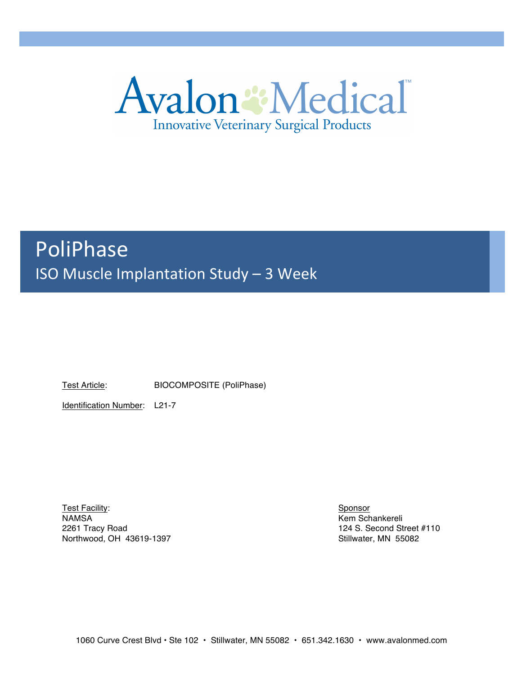

# PoliPhase ISO Muscle Implantation Study - 3 Week

Test Article: BIOCOMPOSITE (PoliPhase)

Identification Number: L21-7

Test Facility: Sponsor NAMSA Kem Schankereli 2261 Tracy Road 124 S. Second Street #110 Northwood, OH 43619-1397 Northwood, OH 43619-1397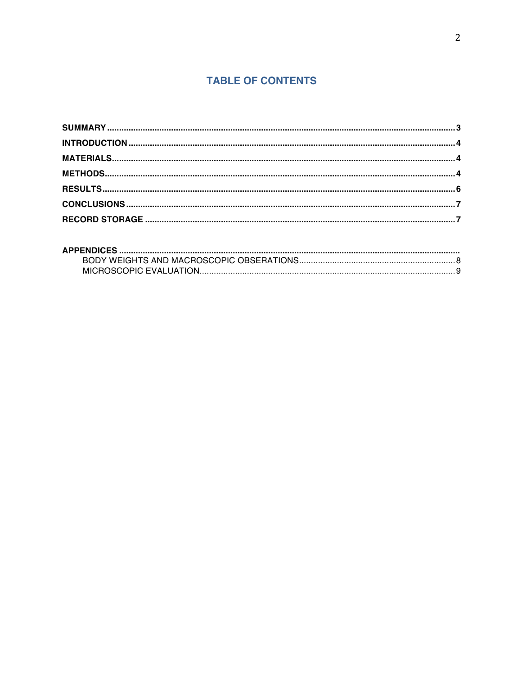# **TABLE OF CONTENTS**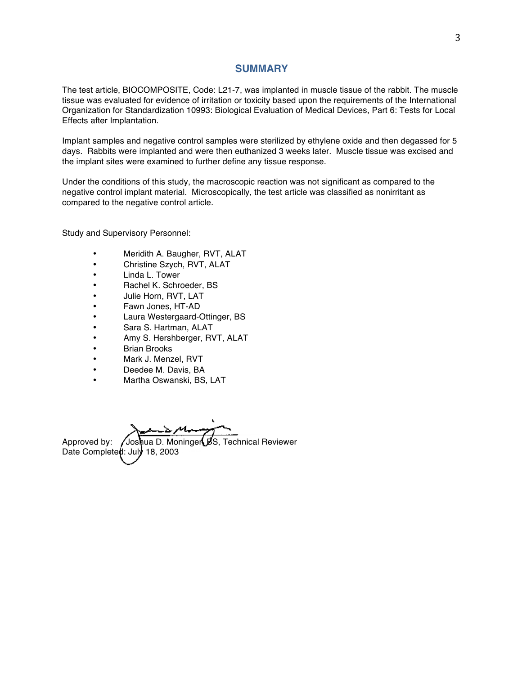#### **SUMMARY**

The test article, BIOCOMPOSITE, Code: L21-7, was implanted in muscle tissue of the rabbit. The muscle tissue was evaluated for evidence of irritation or toxicity based upon the requirements of the International Organization for Standardization 10993: Biological Evaluation of Medical Devices, Part 6: Tests for Local Effects after Implantation.

Implant samples and negative control samples were sterilized by ethylene oxide and then degassed for 5 days. Rabbits were implanted and were then euthanized 3 weeks later. Muscle tissue was excised and the implant sites were examined to further define any tissue response.

Under the conditions of this study, the macroscopic reaction was not significant as compared to the negative control implant material. Microscopically, the test article was classified as nonirritant as compared to the negative control article.

Study and Supervisory Personnel:

- Meridith A. Baugher, RVT, ALAT
- Christine Szych, RVT, ALAT
- Linda L. Tower
- Rachel K. Schroeder, BS
- Julie Horn, RVT, LAT
- Fawn Jones, HT-AD
- Laura Westergaard-Ottinger, BS
- Sara S. Hartman, ALAT
- Amy S. Hershberger, RVT, ALAT
- **Brian Brooks**
- Mark J. Menzel, RVT
- Deedee M. Davis, BA
- Martha Oswanski, BS, LAT

Approved by: /Joshua D. Moninger BS, Technical Reviewer Date Completed: July 18, 2003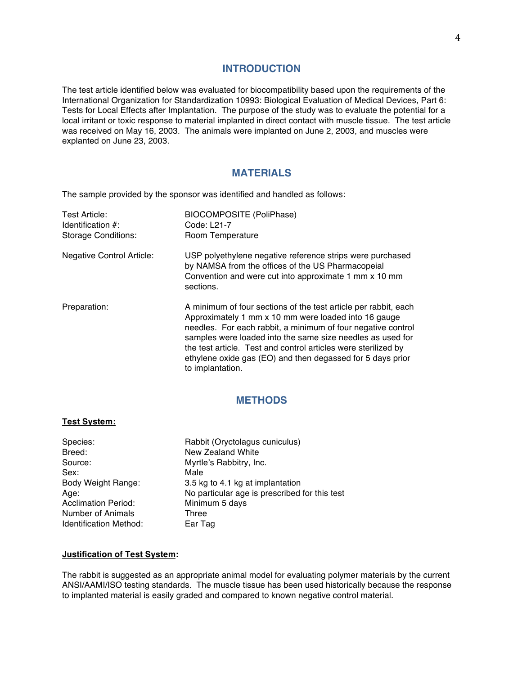#### **INTRODUCTION**

The test article identified below was evaluated for biocompatibility based upon the requirements of the International Organization for Standardization 10993: Biological Evaluation of Medical Devices, Part 6: Tests for Local Effects after Implantation. The purpose of the study was to evaluate the potential for a local irritant or toxic response to material implanted in direct contact with muscle tissue. The test article was received on May 16, 2003. The animals were implanted on June 2, 2003, and muscles were explanted on June 23, 2003.

## **MATERIALS**

The sample provided by the sponsor was identified and handled as follows:

| Test Article:<br>Identification $#$ :<br><b>Storage Conditions:</b> | <b>BIOCOMPOSITE (PoliPhase)</b><br>Code: L21-7<br>Room Temperature                                                                                                                                                                                                                                                                                                                                        |
|---------------------------------------------------------------------|-----------------------------------------------------------------------------------------------------------------------------------------------------------------------------------------------------------------------------------------------------------------------------------------------------------------------------------------------------------------------------------------------------------|
| <b>Negative Control Article:</b>                                    | USP polyethylene negative reference strips were purchased<br>by NAMSA from the offices of the US Pharmacopeial<br>Convention and were cut into approximate 1 mm x 10 mm<br>sections.                                                                                                                                                                                                                      |
| Preparation:                                                        | A minimum of four sections of the test article per rabbit, each<br>Approximately 1 mm x 10 mm were loaded into 16 gauge<br>needles. For each rabbit, a minimum of four negative control<br>samples were loaded into the same size needles as used for<br>the test article. Test and control articles were sterilized by<br>ethylene oxide gas (EO) and then degassed for 5 days prior<br>to implantation. |

## **METHODS**

#### **Test System:**

| Species:                      | Rabbit (Oryctolagus cuniculus)                |
|-------------------------------|-----------------------------------------------|
| Breed:                        | New Zealand White                             |
| Source:                       | Myrtle's Rabbitry, Inc.                       |
| Sex:                          | Male                                          |
| Body Weight Range:            | 3.5 kg to 4.1 kg at implantation              |
| Age:                          | No particular age is prescribed for this test |
| <b>Acclimation Period:</b>    | Minimum 5 days                                |
| Number of Animals             | Three                                         |
| <b>Identification Method:</b> | Ear Tag                                       |

#### **Justification of Test System:**

The rabbit is suggested as an appropriate animal model for evaluating polymer materials by the current ANSI/AAMI/ISO testing standards. The muscle tissue has been used historically because the response to implanted material is easily graded and compared to known negative control material.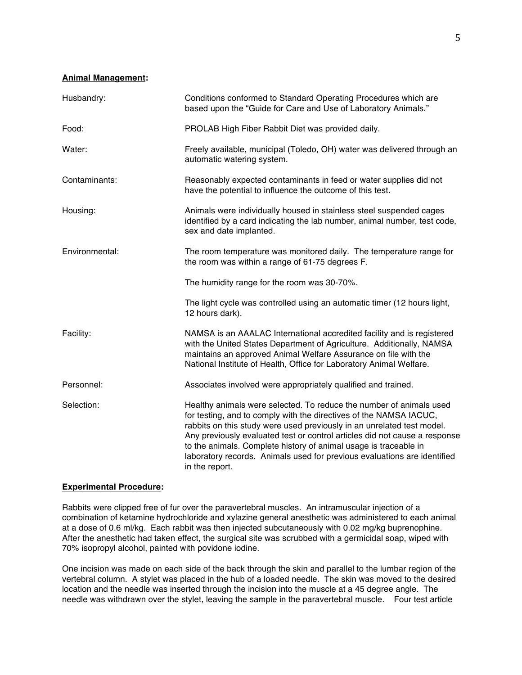#### **Animal Management:**

| Husbandry:     | Conditions conformed to Standard Operating Procedures which are<br>based upon the "Guide for Care and Use of Laboratory Animals."                                                                                                                                                                                                                                                                                                                                   |  |  |
|----------------|---------------------------------------------------------------------------------------------------------------------------------------------------------------------------------------------------------------------------------------------------------------------------------------------------------------------------------------------------------------------------------------------------------------------------------------------------------------------|--|--|
| Food:          | PROLAB High Fiber Rabbit Diet was provided daily.                                                                                                                                                                                                                                                                                                                                                                                                                   |  |  |
| Water:         | Freely available, municipal (Toledo, OH) water was delivered through an<br>automatic watering system.                                                                                                                                                                                                                                                                                                                                                               |  |  |
| Contaminants:  | Reasonably expected contaminants in feed or water supplies did not<br>have the potential to influence the outcome of this test.                                                                                                                                                                                                                                                                                                                                     |  |  |
| Housing:       | Animals were individually housed in stainless steel suspended cages<br>identified by a card indicating the lab number, animal number, test code,<br>sex and date implanted.                                                                                                                                                                                                                                                                                         |  |  |
| Environmental: | The room temperature was monitored daily. The temperature range for<br>the room was within a range of 61-75 degrees F.                                                                                                                                                                                                                                                                                                                                              |  |  |
|                | The humidity range for the room was 30-70%.                                                                                                                                                                                                                                                                                                                                                                                                                         |  |  |
|                | The light cycle was controlled using an automatic timer (12 hours light,<br>12 hours dark).                                                                                                                                                                                                                                                                                                                                                                         |  |  |
| Facility:      | NAMSA is an AAALAC International accredited facility and is registered<br>with the United States Department of Agriculture. Additionally, NAMSA<br>maintains an approved Animal Welfare Assurance on file with the<br>National Institute of Health, Office for Laboratory Animal Welfare.                                                                                                                                                                           |  |  |
| Personnel:     | Associates involved were appropriately qualified and trained.                                                                                                                                                                                                                                                                                                                                                                                                       |  |  |
| Selection:     | Healthy animals were selected. To reduce the number of animals used<br>for testing, and to comply with the directives of the NAMSA IACUC,<br>rabbits on this study were used previously in an unrelated test model.<br>Any previously evaluated test or control articles did not cause a response<br>to the animals. Complete history of animal usage is traceable in<br>laboratory records. Animals used for previous evaluations are identified<br>in the report. |  |  |

#### **Experimental Procedure:**

Rabbits were clipped free of fur over the paravertebral muscles. An intramuscular injection of a combination of ketamine hydrochloride and xylazine general anesthetic was administered to each animal at a dose of 0.6 ml/kg. Each rabbit was then injected subcutaneously with 0.02 mg/kg buprenophine. After the anesthetic had taken effect, the surgical site was scrubbed with a germicidal soap, wiped with 70% isopropyl alcohol, painted with povidone iodine.

One incision was made on each side of the back through the skin and parallel to the lumbar region of the vertebral column. A stylet was placed in the hub of a loaded needle. The skin was moved to the desired location and the needle was inserted through the incision into the muscle at a 45 degree angle. The needle was withdrawn over the stylet, leaving the sample in the paravertebral muscle. Four test article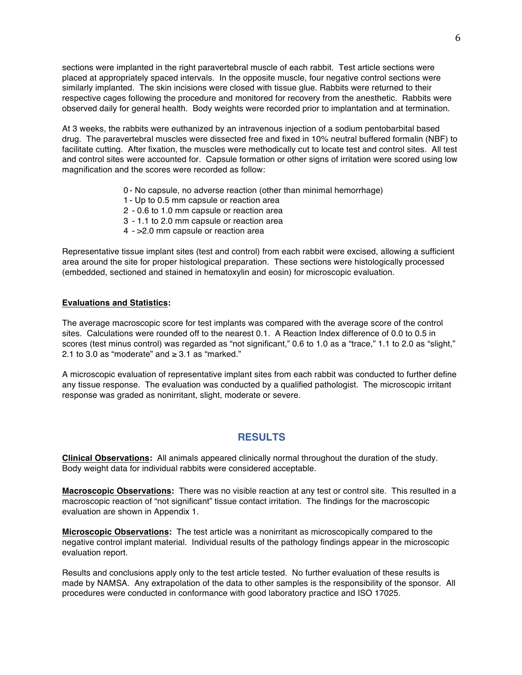sections were implanted in the right paravertebral muscle of each rabbit. Test article sections were placed at appropriately spaced intervals. In the opposite muscle, four negative control sections were similarly implanted. The skin incisions were closed with tissue glue. Rabbits were returned to their respective cages following the procedure and monitored for recovery from the anesthetic. Rabbits were observed daily for general health. Body weights were recorded prior to implantation and at termination.

At 3 weeks, the rabbits were euthanized by an intravenous injection of a sodium pentobarbital based drug. The paravertebral muscles were dissected free and fixed in 10% neutral buffered formalin (NBF) to facilitate cutting. After fixation, the muscles were methodically cut to locate test and control sites. All test and control sites were accounted for. Capsule formation or other signs of irritation were scored using low magnification and the scores were recorded as follow:

- 0 No capsule, no adverse reaction (other than minimal hemorrhage)
- 1 Up to 0.5 mm capsule or reaction area
- 2 0.6 to 1.0 mm capsule or reaction area
- 3 1.1 to 2.0 mm capsule or reaction area
- 4 >2.0 mm capsule or reaction area

Representative tissue implant sites (test and control) from each rabbit were excised, allowing a sufficient area around the site for proper histological preparation. These sections were histologically processed (embedded, sectioned and stained in hematoxylin and eosin) for microscopic evaluation.

#### **Evaluations and Statistics:**

The average macroscopic score for test implants was compared with the average score of the control sites. Calculations were rounded off to the nearest 0.1. A Reaction Index difference of 0.0 to 0.5 in scores (test minus control) was regarded as "not significant," 0.6 to 1.0 as a "trace," 1.1 to 2.0 as "slight," 2.1 to 3.0 as "moderate" and ≥ 3.1 as "marked."

A microscopic evaluation of representative implant sites from each rabbit was conducted to further define any tissue response. The evaluation was conducted by a qualified pathologist. The microscopic irritant response was graded as nonirritant, slight, moderate or severe.

### **RESULTS**

**Clinical Observations:** All animals appeared clinically normal throughout the duration of the study. Body weight data for individual rabbits were considered acceptable.

**Macroscopic Observations:** There was no visible reaction at any test or control site. This resulted in a macroscopic reaction of "not significant" tissue contact irritation. The findings for the macroscopic evaluation are shown in Appendix 1.

**Microscopic Observations:** The test article was a nonirritant as microscopically compared to the negative control implant material. Individual results of the pathology findings appear in the microscopic evaluation report.

Results and conclusions apply only to the test article tested. No further evaluation of these results is made by NAMSA. Any extrapolation of the data to other samples is the responsibility of the sponsor. All procedures were conducted in conformance with good laboratory practice and ISO 17025.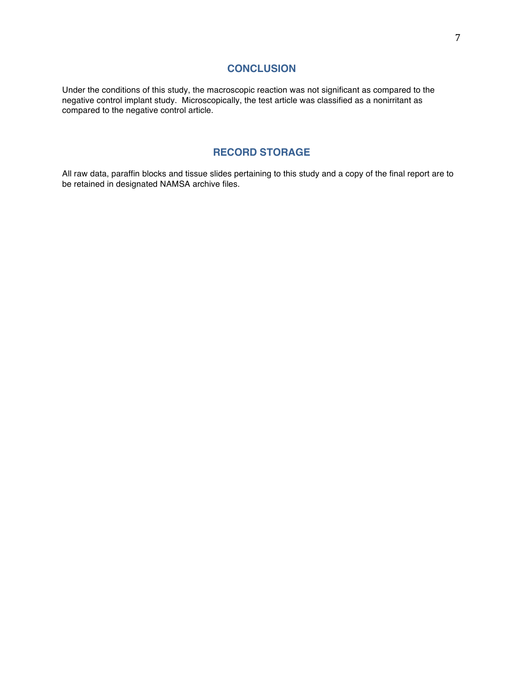#### **CONCLUSION**

Under the conditions of this study, the macroscopic reaction was not significant as compared to the negative control implant study. Microscopically, the test article was classified as a nonirritant as compared to the negative control article.

## **RECORD STORAGE**

All raw data, paraffin blocks and tissue slides pertaining to this study and a copy of the final report are to be retained in designated NAMSA archive files.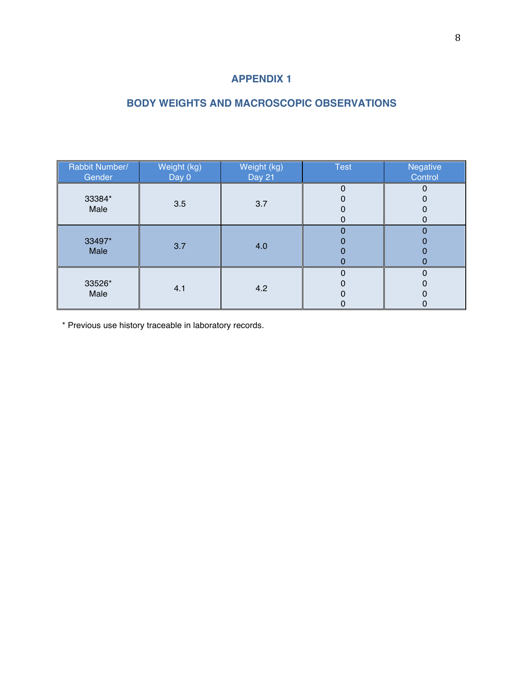# **APPENDIX 1**

# **BODY WEIGHTS AND MACROSCOPIC OBSERVATIONS**

| Rabbit Number/<br>Gender | Weight (kg)<br>Day 0 | Weight (kg)<br><b>Day 21</b> | <b>Test</b> | Negative<br>Control |
|--------------------------|----------------------|------------------------------|-------------|---------------------|
| 33384*<br>Male           | 3.5                  | 3.7                          | 0<br>0<br>O |                     |
| 33497*<br>Male           | 3.7                  | 4.0                          | 0           |                     |
| 33526*<br>Male           | 4.1                  | 4.2                          | ი<br>0      |                     |

\* Previous use history traceable in laboratory records.